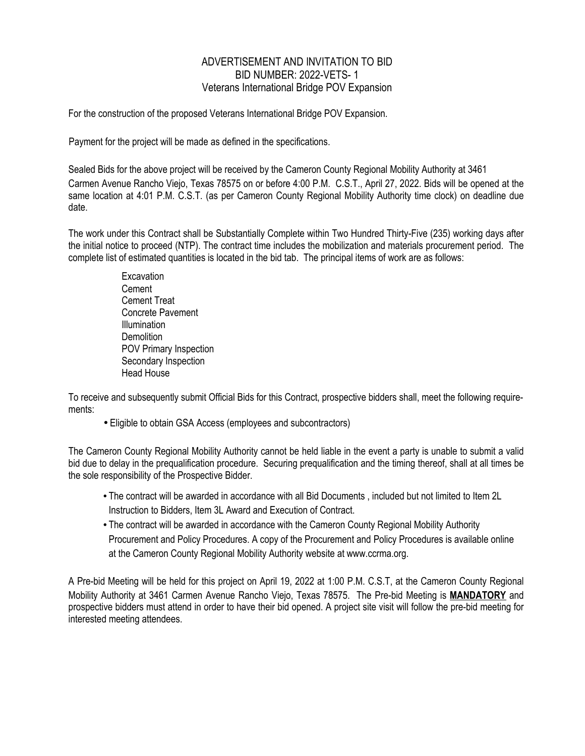## ADVERTISEMENT AND INVITATION TO BID BID NUMBER: 2022-VETS- 1 Veterans International Bridge POV Expansion

For the construction of the proposed Veterans International Bridge POV Expansion.

Payment for the project will be made as defined in the specifications.

Sealed Bids for the above project will be received by the Cameron County Regional Mobility Authority at 3461 Carmen Avenue Rancho Viejo, Texas 78575 on or before 4:00 P.M. C.S.T., April 27, 2022. Bids will be opened at the same location at 4:01 P.M. C.S.T. (as per Cameron County Regional Mobility Authority time clock) on deadline due date.

The work under this Contract shall be Substantially Complete within Two Hundred Thirty-Five (235) working days after the initial notice to proceed (NTP). The contract time includes the mobilization and materials procurement period. The complete list of estimated quantities is located in the bid tab. The principal items of work are as follows:

> **Excavation Cement** Cement Treat Concrete Pavement Illumination **Demolition** POV Primary Inspection Secondary Inspection Head House

To receive and subsequently submit Official Bids for this Contract, prospective bidders shall, meet the following requirements:

• Eligible to obtain GSA Access (employees and subcontractors)

The Cameron County Regional Mobility Authority cannot be held liable in the event a party is unable to submit a valid bid due to delay in the prequalification procedure. Securing prequalification and the timing thereof, shall at all times be the sole responsibility of the Prospective Bidder.

- The contract will be awarded in accordance with all Bid Documents , included but not limited to Item 2L Instruction to Bidders, Item 3L Award and Execution of Contract.
- The contract will be awarded in accordance with the Cameron County Regional Mobility Authority Procurement and Policy Procedures. A copy of the Procurement and Policy Procedures is available online at the Cameron County Regional Mobility Authority website at www.ccrma.org.

A Pre-bid Meeting will be held for this project on April 19, 2022 at 1:00 P.M. C.S.T, at the Cameron County Regional Mobility Authority at 3461 Carmen Avenue Rancho Viejo, Texas 78575. The Pre-bid Meeting is **MANDATORY** and prospective bidders must attend in order to have their bid opened. A project site visit will follow the pre-bid meeting for interested meeting attendees.